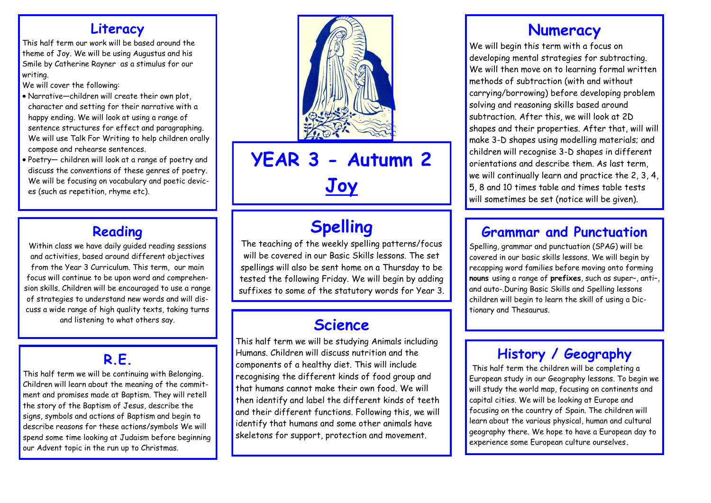### **Literacy**

This half term our work will be based around the theme of Joy. We will be using Augustus and his Smile by Catherine Rayner as a stimulus for our writing.

We will cover the following:

- Narrative—children will create their own plot, character and setting for their narrative with a happy ending. We will look at using a range of sentence structures for effect and paragraphing. We will use Talk For Writing to help children orally compose and rehearse sentences.
- Poetry— children will look at a range of poetry and discuss the conventions of these genres of poetry. We will be focusing on vocabulary and poetic devices (such as repetition, rhyme etc).

### **Reading**

Within class we have daily guided reading sessions and activities, based around different objectives from the Year 3 Curriculum. This term, our main focus will continue to be upon word and comprehension skills. Children will be encouraged to use a range of strategies to understand new words and will discuss a wide range of high quality texts, taking turns and listening to what others say.

## **R.E.**

This half term we will be continuing with Belonging. Children will learn about the meaning of the commitment and promises made at Baptism. They will retell the story of the Baptism of Jesus, describe the signs, symbols and actions of Baptism and begin to describe reasons for these actions/symbols We will spend some time looking at Judaism before beginning our Advent topic in the run up to Christmas.



# **YEAR 3 - Autumn 2 Joy**

# **Spelling**

The teaching of the weekly spelling patterns/focus will be covered in our Basic Skills lessons. The set spellings will also be sent home on a Thursday to be tested the following Friday. We will begin by adding suffixes to some of the statutory words for Year 3.

## **Science**

This half term we will be studying Animals including Humans. Children will discuss nutrition and the components of a healthy diet. This will include recognising the different kinds of food group and that humans cannot make their own food. We will then identify and label the different kinds of teeth and their different functions. Following this, we will identify that humans and some other animals have skeletons for support, protection and movement.

### **Numeracy**

We will begin this term with a focus on developing mental strategies for subtracting. We will then move on to learning formal written methods of subtraction (with and without carrying/borrowing) before developing problem solving and reasoning skills based around subtraction. After this, we will look at 2D shapes and their properties. After that, will will make 3-D shapes using modelling materials; and children will recognise 3-D shapes in different orientations and describe them. As last term, we will continually learn and practice the 2, 3, 4, 5, 8 and 10 times table and times table tests will sometimes be set (notice will be given).

### **Grammar and Punctuation**

Spelling, grammar and punctuation (SPAG) will be covered in our basic skills lessons. We will begin by recapping word families before moving onto forming **nouns** using a range of **prefixes**, such as super–, anti–, and auto-.During Basic Skills and Spelling lessons children will begin to learn the skill of using a Dictionary and Thesaurus.

## **History / Geography**

This half term the children will be completing a European study in our Geography lessons. To begin we will study the world map, focusing on continents and capital cities. We will be looking at Europe and focusing on the country of Spain. The children will learn about the various physical, human and cultural geography there. We hope to have a European day to experience some European culture ourselves**.**